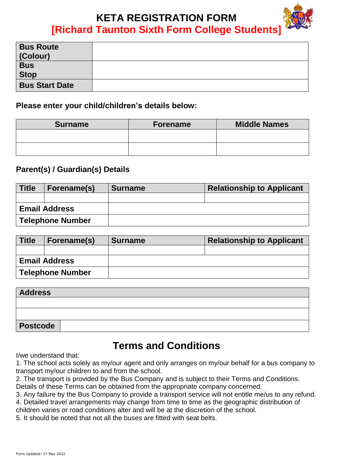# **KETA REGISTRATION FORM [Richard Taunton Sixth Form College Students]**

| <b>Bus Route</b><br>(Colour) |  |
|------------------------------|--|
| <b>Bus</b><br><b>Stop</b>    |  |
| <b>Bus Start Date</b>        |  |

#### **Please enter your child/children's details below:**

| <b>Surname</b> | <b>Forename</b> | <b>Middle Names</b> |
|----------------|-----------------|---------------------|
|                |                 |                     |
|                |                 |                     |

### **Parent(s) / Guardian(s) Details**

| <b>Title</b>            | Forename(s) | <b>Surname</b> | <b>Relationship to Applicant</b> |
|-------------------------|-------------|----------------|----------------------------------|
|                         |             |                |                                  |
| <b>Email Address</b>    |             |                |                                  |
| <b>Telephone Number</b> |             |                |                                  |

| <b>Title</b>            | Forename(s) | <b>Surname</b> | <b>Relationship to Applicant</b> |
|-------------------------|-------------|----------------|----------------------------------|
|                         |             |                |                                  |
| <b>Email Address</b>    |             |                |                                  |
| <b>Telephone Number</b> |             |                |                                  |

| <b>Address</b> |  |
|----------------|--|
|                |  |
|                |  |
| Postcode       |  |

## **Terms and Conditions**

I/we understand that:

1. The school acts solely as my/our agent and only arranges on my/our behalf for a bus company to transport my/our children to and from the school.

2. The transport is provided by the Bus Company and is subject to their Terms and Conditions. Details of these Terms can be obtained from the appropriate company concerned.

3. Any failure by the Bus Company to provide a transport service will not entitle me/us to any refund.

4. Detailed travel arrangements may change from time to time as the geographic distribution of children varies or road conditions alter and will be at the discretion of the school.

5. It should be noted that not all the buses are fitted with seat belts.